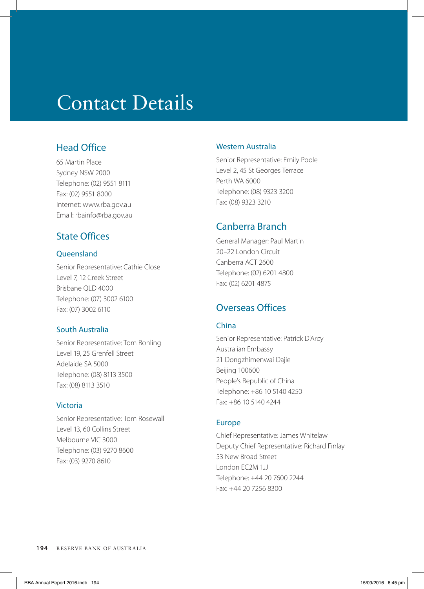# Contact Details

# Head Office

65 Martin Place Sydney NSW 2000 Telephone: (02) 9551 8111 Fax: (02) 9551 8000 Internet: www.rba.gov.au Email: rbainfo@rba.gov.au

## State Offices

### **Oueensland**

Senior Representative: Cathie Close Level 7, 12 Creek Street Brisbane QLD 4000 Telephone: (07) 3002 6100 Fax: (07) 3002 6110

#### South Australia

Senior Representative: Tom Rohling Level 19, 25 Grenfell Street Adelaide SA 5000 Telephone: (08) 8113 3500 Fax: (08) 8113 3510

#### Victoria

Senior Representative: Tom Rosewall Level 13, 60 Collins Street Melbourne VIC 3000 Telephone: (03) 9270 8600 Fax: (03) 9270 8610

#### Western Australia

Senior Representative: Emily Poole Level 2, 45 St Georges Terrace Perth WA 6000 Telephone: (08) 9323 3200 Fax: (08) 9323 3210

## Canberra Branch

General Manager: Paul Martin 20–22 London Circuit Canberra ACT 2600 Telephone: (02) 6201 4800 Fax: (02) 6201 4875

## Overseas Offices

#### China

Senior Representative: Patrick D'Arcy Australian Embassy 21 Dongzhimenwai Dajie Beijing 100600 People's Republic of China Telephone: +86 10 5140 4250 Fax: +86 10 5140 4244

#### Europe

Chief Representative: James Whitelaw Deputy Chief Representative: Richard Finlay 53 New Broad Street London EC2M 1JJ Telephone: +44 20 7600 2244 Fax: +44 20 7256 8300